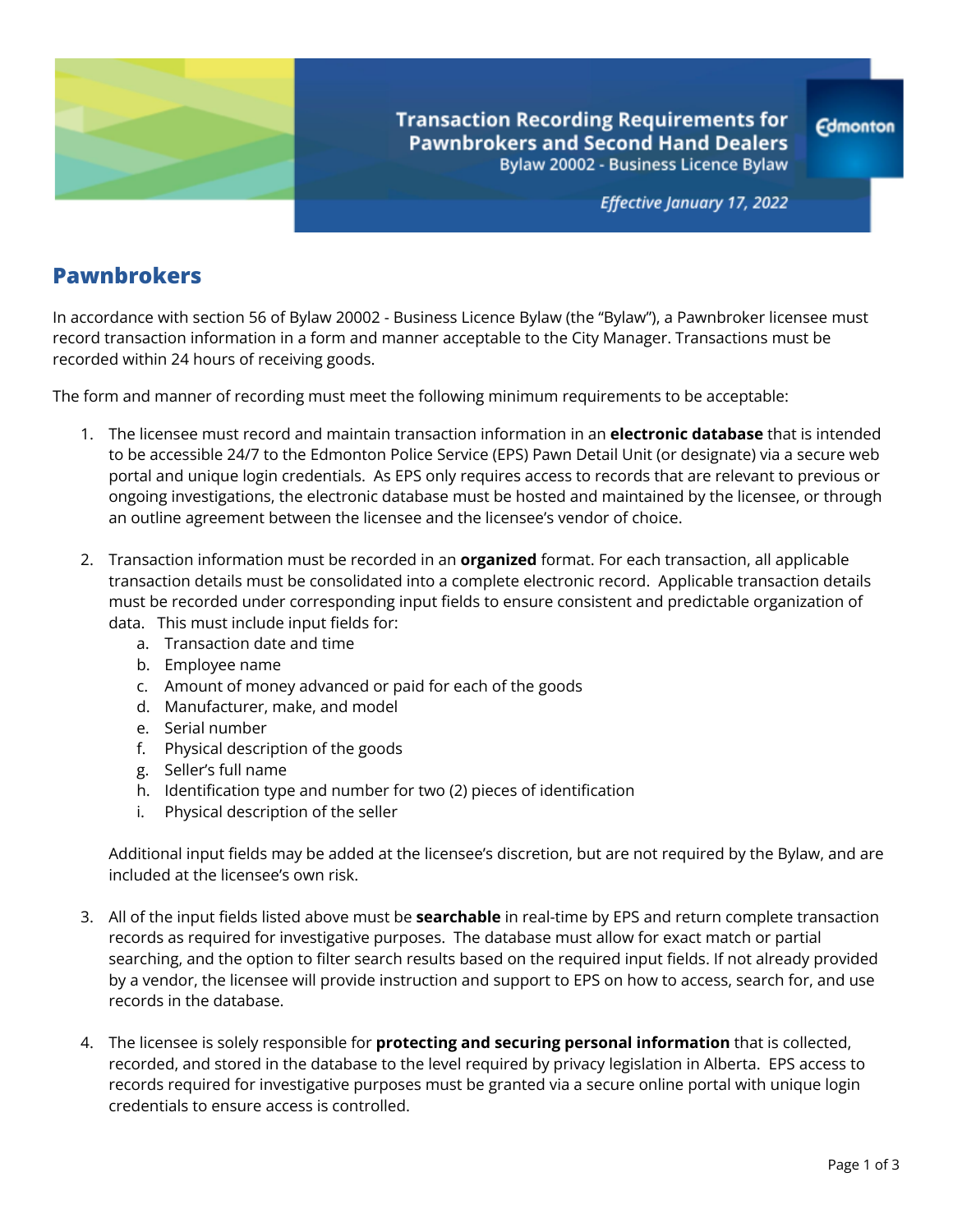

**Transaction Recording Requirements for Pawnbrokers and Second Hand Dealers** Bylaw 20002 - Business Licence Bylaw

Effective January 17, 2022

## **Pawnbrokers**

In accordance with section 56 of Bylaw 20002 - Business Licence Bylaw (the "Bylaw"), a Pawnbroker licensee must record transaction information in a form and manner acceptable to the City Manager. Transactions must be recorded within 24 hours of receiving goods.

The form and manner of recording must meet the following minimum requirements to be acceptable:

- 1. The licensee must record and maintain transaction information in an **electronic database** that is intended to be accessible 24/7 to the Edmonton Police Service (EPS) Pawn Detail Unit (or designate) via a secure web portal and unique login credentials. As EPS only requires access to records that are relevant to previous or ongoing investigations, the electronic database must be hosted and maintained by the licensee, or through an outline agreement between the licensee and the licensee's vendor of choice.
- 2. Transaction information must be recorded in an **organized** format. For each transaction, all applicable transaction details must be consolidated into a complete electronic record. Applicable transaction details must be recorded under corresponding input fields to ensure consistent and predictable organization of data. This must include input fields for:
	- a. Transaction date and time
	- b. Employee name
	- c. Amount of money advanced or paid for each of the goods
	- d. Manufacturer, make, and model
	- e. Serial number
	- f. Physical description of the goods
	- g. Seller's full name
	- h. Identification type and number for two (2) pieces of identification
	- i. Physical description of the seller

Additional input fields may be added at the licensee's discretion, but are not required by the Bylaw, and are included at the licensee's own risk.

- 3. All of the input fields listed above must be **searchable** in real-time by EPS and return complete transaction records as required for investigative purposes. The database must allow for exact match or partial searching, and the option to filter search results based on the required input fields. If not already provided by a vendor, the licensee will provide instruction and support to EPS on how to access, search for, and use records in the database.
- 4. The licensee is solely responsible for **protecting and securing personal information** that is collected, recorded, and stored in the database to the level required by privacy legislation in Alberta. EPS access to records required for investigative purposes must be granted via a secure online portal with unique login credentials to ensure access is controlled.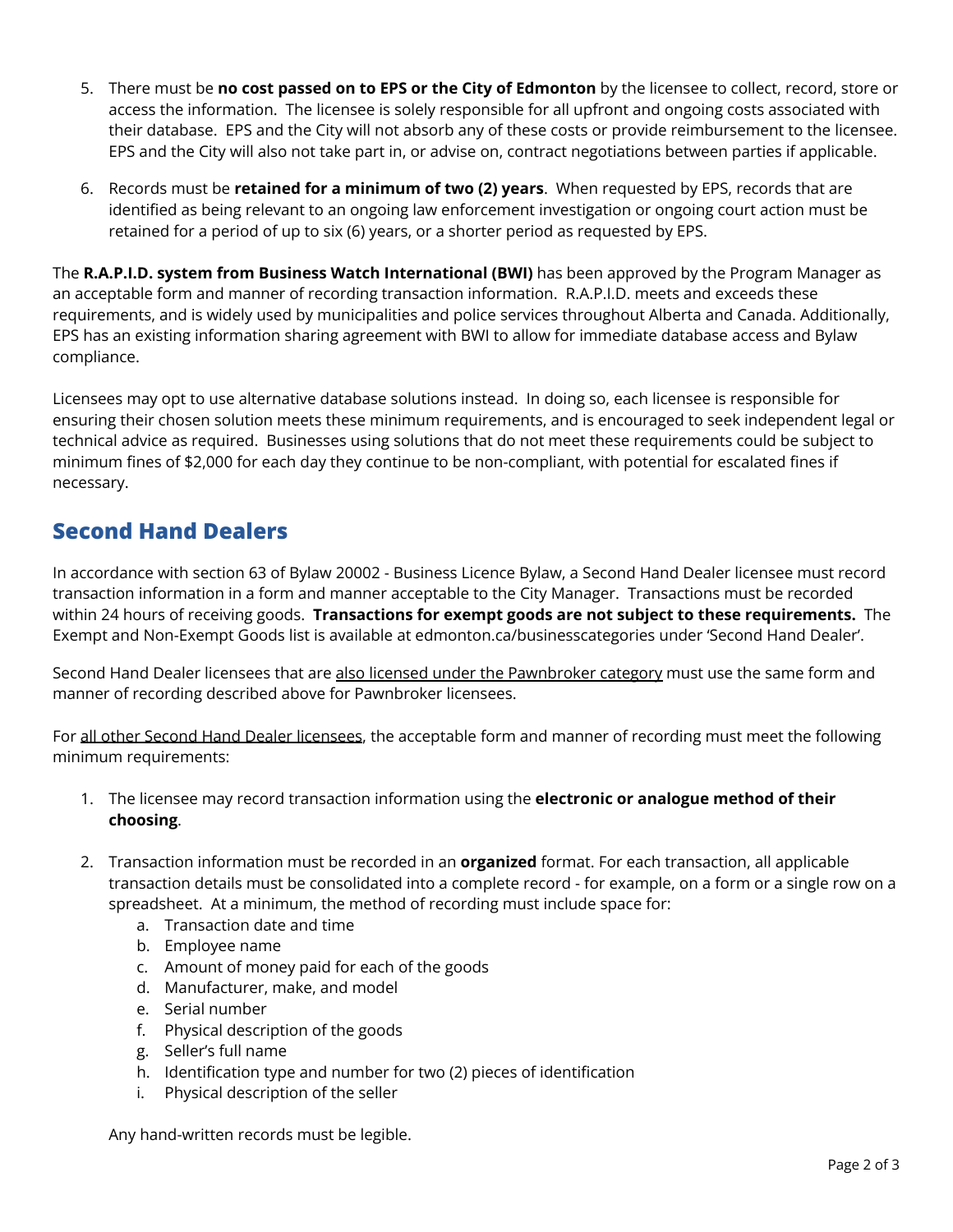- 5. There must be **no cost passed on to EPS or the City of Edmonton** by the licensee to collect, record, store or access the information. The licensee is solely responsible for all upfront and ongoing costs associated with their database. EPS and the City will not absorb any of these costs or provide reimbursement to the licensee. EPS and the City will also not take part in, or advise on, contract negotiations between parties if applicable.
- 6. Records must be **retained for a minimum of two (2) years**. When requested by EPS, records that are identified as being relevant to an ongoing law enforcement investigation or ongoing court action must be retained for a period of up to six (6) years, or a shorter period as requested by EPS.

The **R.A.P.I.D. system from Business Watch International (BWI)** has been approved by the Program Manager as an acceptable form and manner of recording transaction information. R.A.P.I.D. meets and exceeds these requirements, and is widely used by municipalities and police services throughout Alberta and Canada. Additionally, EPS has an existing information sharing agreement with BWI to allow for immediate database access and Bylaw compliance.

Licensees may opt to use alternative database solutions instead. In doing so, each licensee is responsible for ensuring their chosen solution meets these minimum requirements, and is encouraged to seek independent legal or technical advice as required. Businesses using solutions that do not meet these requirements could be subject to minimum fines of \$2,000 for each day they continue to be non-compliant, with potential for escalated fines if necessary.

## **Second Hand Dealers**

In accordance with section 63 of Bylaw 20002 - Business Licence Bylaw, a Second Hand Dealer licensee must record transaction information in a form and manner acceptable to the City Manager. Transactions must be recorded within 24 hours of receiving goods. **Transactions for exempt goods are not subject to these requirements.** The Exempt and Non-Exempt Goods list is available at edmonton.ca/businesscategories under 'Second Hand Dealer'.

Second Hand Dealer licensees that are also licensed under the Pawnbroker category must use the same form and manner of recording described above for Pawnbroker licensees.

For all other Second Hand Dealer licensees, the acceptable form and manner of recording must meet the following minimum requirements:

- 1. The licensee may record transaction information using the **electronic or analogue method of their choosing**.
- 2. Transaction information must be recorded in an **organized** format. For each transaction, all applicable transaction details must be consolidated into a complete record - for example, on a form or a single row on a spreadsheet. At a minimum, the method of recording must include space for:
	- a. Transaction date and time
	- b. Employee name
	- c. Amount of money paid for each of the goods
	- d. Manufacturer, make, and model
	- e. Serial number
	- f. Physical description of the goods
	- g. Seller's full name
	- h. Identification type and number for two (2) pieces of identification
	- i. Physical description of the seller

Any hand-written records must be legible.